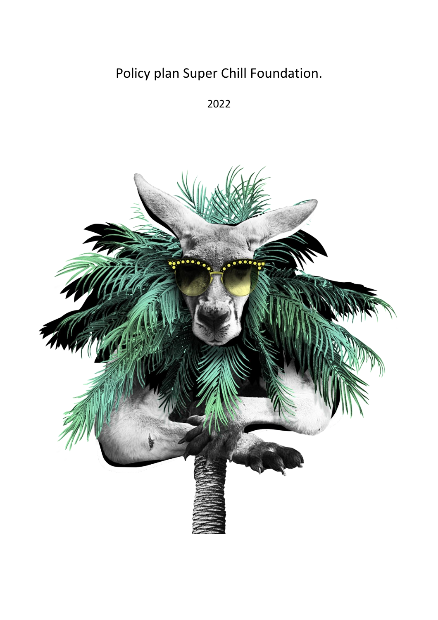# Policy plan Super Chill Foundation.

2022

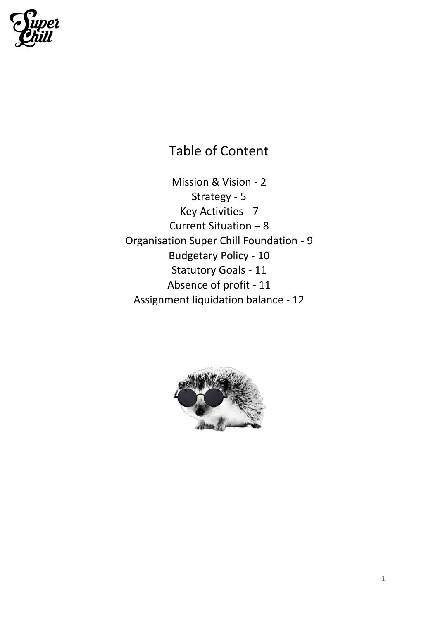

Table of Content

Mission & Vision - 2 Strategy - 5 Key Activities - 7 Current Situation – 8 Organisation Super Chill Foundation - 9 Budgetary Policy - 10 Statutory Goals - 11 Absence of profit - 11 Assignment liquidation balance - 12

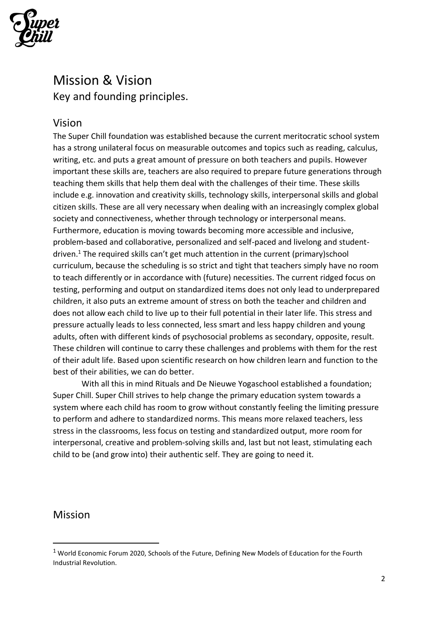

### Mission & Vision Key and founding principles.

#### Vision

The Super Chill foundation was established because the current meritocratic school system has a strong unilateral focus on measurable outcomes and topics such as reading, calculus, writing, etc. and puts a great amount of pressure on both teachers and pupils. However important these skills are, teachers are also required to prepare future generations through teaching them skills that help them deal with the challenges of their time. These skills include e.g. innovation and creativity skills, technology skills, interpersonal skills and global citizen skills. These are all very necessary when dealing with an increasingly complex global society and connectiveness, whether through technology or interpersonal means. Furthermore, education is moving towards becoming more accessible and inclusive, problem-based and collaborative, personalized and self-paced and livelong and studentdriven.<sup>1</sup> The required skills can't get much attention in the current (primary)school curriculum, because the scheduling is so strict and tight that teachers simply have no room to teach differently or in accordance with (future) necessities. The current ridged focus on testing, performing and output on standardized items does not only lead to underprepared children, it also puts an extreme amount of stress on both the teacher and children and does not allow each child to live up to their full potential in their later life. This stress and pressure actually leads to less connected, less smart and less happy children and young adults, often with different kinds of psychosocial problems as secondary, opposite, result. These children will continue to carry these challenges and problems with them for the rest of their adult life. Based upon scientific research on how children learn and function to the best of their abilities, we can do better.

With all this in mind Rituals and De Nieuwe Yogaschool established a foundation; Super Chill. Super Chill strives to help change the primary education system towards a system where each child has room to grow without constantly feeling the limiting pressure to perform and adhere to standardized norms. This means more relaxed teachers, less stress in the classrooms, less focus on testing and standardized output, more room for interpersonal, creative and problem-solving skills and, last but not least, stimulating each child to be (and grow into) their authentic self. They are going to need it.

#### Mission

<sup>1</sup> World Economic Forum 2020, Schools of the Future, Defining New Models of Education for the Fourth Industrial Revolution.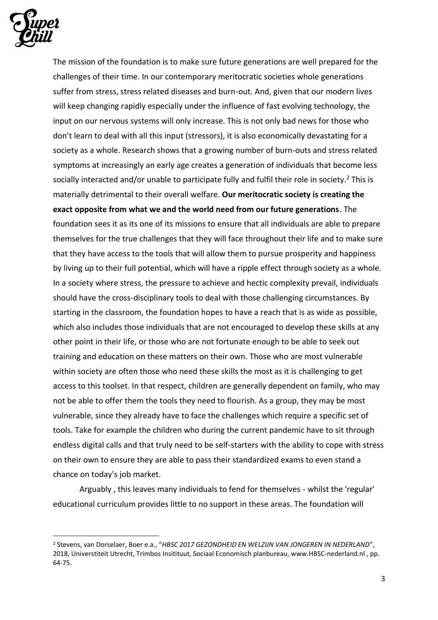

The mission of the foundation is to make sure future generations are well prepared for the challenges of their time. In our contemporary meritocratic societies whole generations suffer from stress, stress related diseases and burn-out. And, given that our modern lives will keep changing rapidly especially under the influence of fast evolving technology, the input on our nervous systems will only increase. This is not only bad news for those who don't learn to deal with all this input (stressors), it is also economically devastating for a society as a whole. Research shows that a growing number of burn-outs and stress related symptoms at increasingly an early age creates a generation of individuals that become less socially interacted and/or unable to participate fully and fulfil their role in society.<sup>2</sup> This is materially detrimental to their overall welfare. **Our meritocratic society is creating the exact opposite from what we and the world need from our future generations**. The foundation sees it as its one of its missions to ensure that all individuals are able to prepare themselves for the true challenges that they will face throughout their life and to make sure that they have access to the tools that will allow them to pursue prosperity and happiness by living up to their full potential, which will have a ripple effect through society as a whole. In a society where stress, the pressure to achieve and hectic complexity prevail, individuals should have the cross-disciplinary tools to deal with those challenging circumstances. By starting in the classroom, the foundation hopes to have a reach that is as wide as possible, which also includes those individuals that are not encouraged to develop these skills at any other point in their life, or those who are not fortunate enough to be able to seek out training and education on these matters on their own. Those who are most vulnerable within society are often those who need these skills the most as it is challenging to get access to this toolset. In that respect, children are generally dependent on family, who may not be able to offer them the tools they need to flourish. As a group, they may be most vulnerable, since they already have to face the challenges which require a specific set of tools. Take for example the children who during the current pandemic have to sit through endless digital calls and that truly need to be self-starters with the ability to cope with stress on their own to ensure they are able to pass their standardized exams to even stand a chance on today's job market.

Arguably , this leaves many individuals to fend for themselves - whilst the 'regular' educational curriculum provides little to no support in these areas. The foundation will

<sup>2</sup> Stevens, van Dorselaer, Boer e.a., "*HBSC 2017 GEZONDHEID EN WELZIJN VAN JONGEREN IN NEDERLAND*", 2018, Universtiteit Utrecht, Trimbos Insitituut, Sociaal Economisch planbureau, www.HBSC-nederland.nl , pp. 64-75.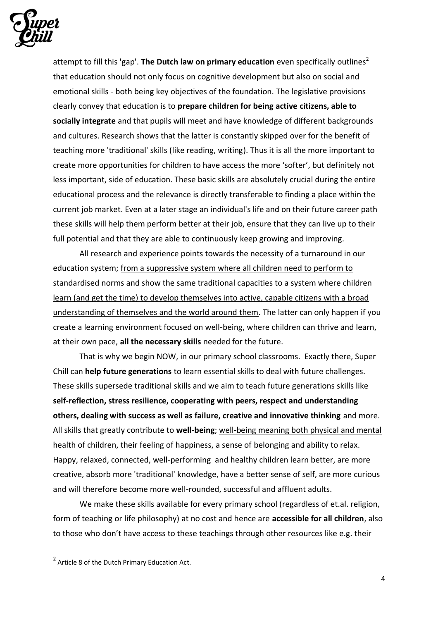

attempt to fill this 'gap'. The Dutch law on primary education even specifically outlines<sup>2</sup> that education should not only focus on cognitive development but also on social and emotional skills - both being key objectives of the foundation. The legislative provisions clearly convey that education is to **prepare children for being active citizens, able to socially integrate** and that pupils will meet and have knowledge of different backgrounds and cultures. Research shows that the latter is constantly skipped over for the benefit of teaching more 'traditional' skills (like reading, writing). Thus it is all the more important to create more opportunities for children to have access the more 'softer', but definitely not less important, side of education. These basic skills are absolutely crucial during the entire educational process and the relevance is directly transferable to finding a place within the current job market. Even at a later stage an individual's life and on their future career path these skills will help them perform better at their job, ensure that they can live up to their full potential and that they are able to continuously keep growing and improving.

All research and experience points towards the necessity of a turnaround in our education system; from a suppressive system where all children need to perform to standardised norms and show the same traditional capacities to a system where children learn (and get the time) to develop themselves into active, capable citizens with a broad understanding of themselves and the world around them. The latter can only happen if you create a learning environment focused on well-being, where children can thrive and learn, at their own pace, **all the necessary skills** needed for the future.

That is why we begin NOW, in our primary school classrooms. Exactly there, Super Chill can **help future generations** to learn essential skills to deal with future challenges. These skills supersede traditional skills and we aim to teach future generations skills like **self-reflection, stress resilience, cooperating with peers, respect and understanding others, dealing with success as well as failure, creative and innovative thinking** and more. All skills that greatly contribute to **well-being**; well-being meaning both physical and mental health of children, their feeling of happiness, a sense of belonging and ability to relax. Happy, relaxed, connected, well-performing and healthy children learn better, are more creative, absorb more 'traditional' knowledge, have a better sense of self, are more curious and will therefore become more well-rounded, successful and affluent adults.

We make these skills available for every primary school (regardless of et.al. religion, form of teaching or life philosophy) at no cost and hence are **accessible for all children**, also to those who don't have access to these teachings through other resources like e.g. their

 $2$  Article 8 of the Dutch Primary Education Act.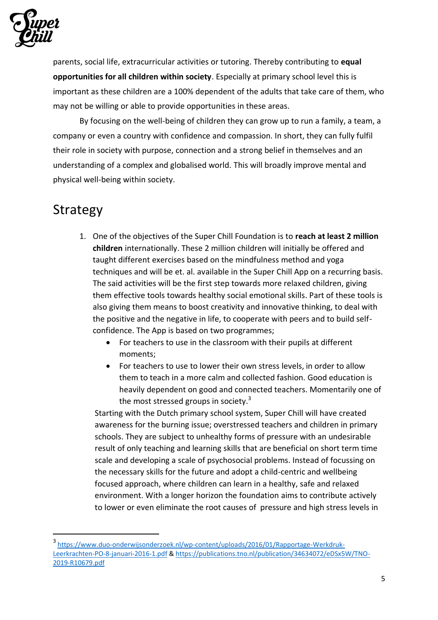

parents, social life, extracurricular activities or tutoring. Thereby contributing to **equal opportunities for all children within society**. Especially at primary school level this is important as these children are a 100% dependent of the adults that take care of them, who may not be willing or able to provide opportunities in these areas.

By focusing on the well-being of children they can grow up to run a family, a team, a company or even a country with confidence and compassion. In short, they can fully fulfil their role in society with purpose, connection and a strong belief in themselves and an understanding of a complex and globalised world. This will broadly improve mental and physical well-being within society.

### Strategy

- 1. One of the objectives of the Super Chill Foundation is to **reach at least 2 million children** internationally. These 2 million children will initially be offered and taught different exercises based on the mindfulness method and yoga techniques and will be et. al. available in the Super Chill App on a recurring basis. The said activities will be the first step towards more relaxed children, giving them effective tools towards healthy social emotional skills. Part of these tools is also giving them means to boost creativity and innovative thinking, to deal with the positive and the negative in life, to cooperate with peers and to build selfconfidence. The App is based on two programmes;
	- For teachers to use in the classroom with their pupils at different moments;
	- For teachers to use to lower their own stress levels, in order to allow them to teach in a more calm and collected fashion. Good education is heavily dependent on good and connected teachers. Momentarily one of the most stressed groups in society. $3$

Starting with the Dutch primary school system, Super Chill will have created awareness for the burning issue; overstressed teachers and children in primary schools. They are subject to unhealthy forms of pressure with an undesirable result of only teaching and learning skills that are beneficial on short term time scale and developing a scale of psychosocial problems. Instead of focussing on the necessary skills for the future and adopt a child-centric and wellbeing focused approach, where children can learn in a healthy, safe and relaxed environment. With a longer horizon the foundation aims to contribute actively to lower or even eliminate the root causes of pressure and high stress levels in

<sup>3</sup> [https://www.duo-onderwijsonderzoek.nl/wp-content/uploads/2016/01/Rapportage-Werkdruk-](https://www.duo-onderwijsonderzoek.nl/wp-content/uploads/2016/01/Rapportage-Werkdruk-Leerkrachten-PO-8-januari-2016-1.pdf)[Leerkrachten-PO-8-januari-2016-1.pdf](https://www.duo-onderwijsonderzoek.nl/wp-content/uploads/2016/01/Rapportage-Werkdruk-Leerkrachten-PO-8-januari-2016-1.pdf) [& https://publications.tno.nl/publication/34634072/eDSx5W/TNO-](https://publications.tno.nl/publication/34634072/eDSx5W/TNO-2019-R10679.pdf)[2019-R10679.pdf](https://publications.tno.nl/publication/34634072/eDSx5W/TNO-2019-R10679.pdf)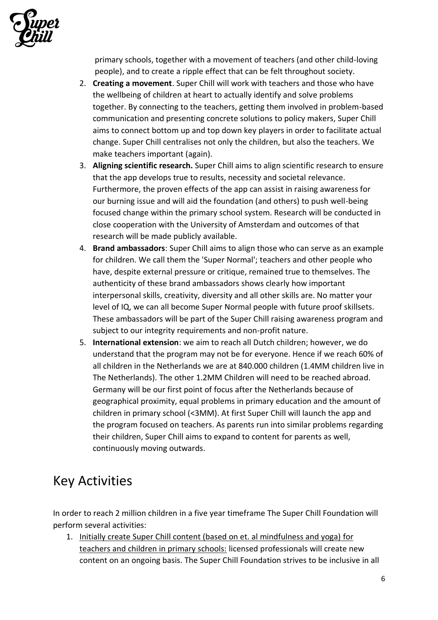

primary schools, together with a movement of teachers (and other child-loving people), and to create a ripple effect that can be felt throughout society.

- 2. **Creating a movement**. Super Chill will work with teachers and those who have the wellbeing of children at heart to actually identify and solve problems together. By connecting to the teachers, getting them involved in problem-based communication and presenting concrete solutions to policy makers, Super Chill aims to connect bottom up and top down key players in order to facilitate actual change. Super Chill centralises not only the children, but also the teachers. We make teachers important (again).
- 3. **Aligning scientific research.** Super Chill aims to align scientific research to ensure that the app develops true to results, necessity and societal relevance. Furthermore, the proven effects of the app can assist in raising awareness for our burning issue and will aid the foundation (and others) to push well-being focused change within the primary school system. Research will be conducted in close cooperation with the University of Amsterdam and outcomes of that research will be made publicly available.
- 4. **Brand ambassadors**: Super Chill aims to align those who can serve as an example for children. We call them the 'Super Normal'; teachers and other people who have, despite external pressure or critique, remained true to themselves. The authenticity of these brand ambassadors shows clearly how important interpersonal skills, creativity, diversity and all other skills are. No matter your level of IQ, we can all become Super Normal people with future proof skillsets. These ambassadors will be part of the Super Chill raising awareness program and subject to our integrity requirements and non-profit nature.
- 5. **International extension**: we aim to reach all Dutch children; however, we do understand that the program may not be for everyone. Hence if we reach 60% of all children in the Netherlands we are at 840.000 children (1.4MM children live in The Netherlands). The other 1.2MM Children will need to be reached abroad. Germany will be our first point of focus after the Netherlands because of geographical proximity, equal problems in primary education and the amount of children in primary school (<3MM). At first Super Chill will launch the app and the program focused on teachers. As parents run into similar problems regarding their children, Super Chill aims to expand to content for parents as well, continuously moving outwards.

## Key Activities

In order to reach 2 million children in a five year timeframe The Super Chill Foundation will perform several activities:

1. Initially create Super Chill content (based on et. al mindfulness and yoga) for teachers and children in primary schools: licensed professionals will create new content on an ongoing basis. The Super Chill Foundation strives to be inclusive in all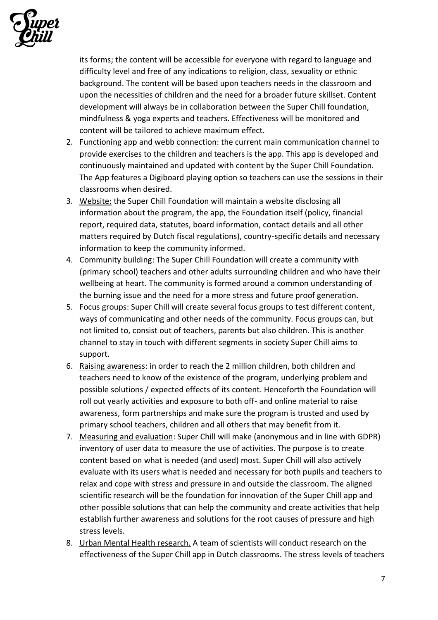

its forms; the content will be accessible for everyone with regard to language and difficulty level and free of any indications to religion, class, sexuality or ethnic background. The content will be based upon teachers needs in the classroom and upon the necessities of children and the need for a broader future skillset. Content development will always be in collaboration between the Super Chill foundation, mindfulness & yoga experts and teachers. Effectiveness will be monitored and content will be tailored to achieve maximum effect.

- 2. Functioning app and webb connection: the current main communication channel to provide exercises to the children and teachers is the app. This app is developed and continuously maintained and updated with content by the Super Chill Foundation. The App features a Digiboard playing option so teachers can use the sessions in their classrooms when desired.
- 3. Website: the Super Chill Foundation will maintain a website disclosing all information about the program, the app, the Foundation itself (policy, financial report, required data, statutes, board information, contact details and all other matters required by Dutch fiscal regulations), country-specific details and necessary information to keep the community informed.
- 4. Community building: The Super Chill Foundation will create a community with (primary school) teachers and other adults surrounding children and who have their wellbeing at heart. The community is formed around a common understanding of the burning issue and the need for a more stress and future proof generation.
- 5. Focus groups: Super Chill will create several focus groups to test different content, ways of communicating and other needs of the community. Focus groups can, but not limited to, consist out of teachers, parents but also children. This is another channel to stay in touch with different segments in society Super Chill aims to support.
- 6. Raising awareness: in order to reach the 2 million children, both children and teachers need to know of the existence of the program, underlying problem and possible solutions / expected effects of its content. Henceforth the Foundation will roll out yearly activities and exposure to both off- and online material to raise awareness, form partnerships and make sure the program is trusted and used by primary school teachers, children and all others that may benefit from it.
- 7. Measuring and evaluation: Super Chill will make (anonymous and in line with GDPR) inventory of user data to measure the use of activities. The purpose is to create content based on what is needed (and used) most. Super Chill will also actively evaluate with its users what is needed and necessary for both pupils and teachers to relax and cope with stress and pressure in and outside the classroom. The aligned scientific research will be the foundation for innovation of the Super Chill app and other possible solutions that can help the community and create activities that help establish further awareness and solutions for the root causes of pressure and high stress levels.
- 8. Urban Mental Health research. A team of scientists will conduct research on the effectiveness of the Super Chill app in Dutch classrooms. The stress levels of teachers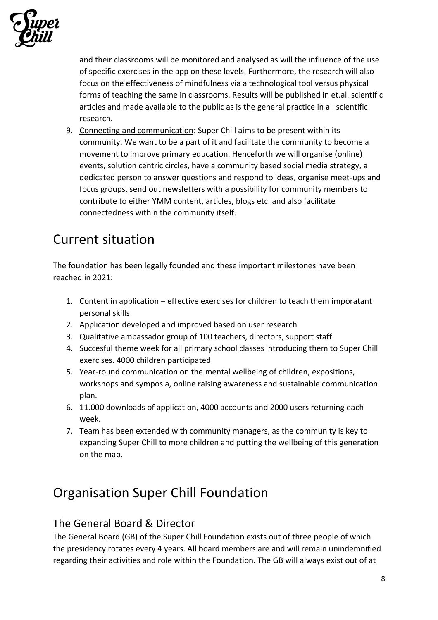

and their classrooms will be monitored and analysed as will the influence of the use of specific exercises in the app on these levels. Furthermore, the research will also focus on the effectiveness of mindfulness via a technological tool versus physical forms of teaching the same in classrooms. Results will be published in et.al. scientific articles and made available to the public as is the general practice in all scientific research.

9. Connecting and communication: Super Chill aims to be present within its community. We want to be a part of it and facilitate the community to become a movement to improve primary education. Henceforth we will organise (online) events, solution centric circles, have a community based social media strategy, a dedicated person to answer questions and respond to ideas, organise meet-ups and focus groups, send out newsletters with a possibility for community members to contribute to either YMM content, articles, blogs etc. and also facilitate connectedness within the community itself.

### Current situation

The foundation has been legally founded and these important milestones have been reached in 2021:

- 1. Content in application effective exercises for children to teach them imporatant personal skills
- 2. Application developed and improved based on user research
- 3. Qualitative ambassador group of 100 teachers, directors, support staff
- 4. Succesful theme week for all primary school classes introducing them to Super Chill exercises. 4000 children participated
- 5. Year-round communication on the mental wellbeing of children, expositions, workshops and symposia, online raising awareness and sustainable communication plan.
- 6. 11.000 downloads of application, 4000 accounts and 2000 users returning each week.
- 7. Team has been extended with community managers, as the community is key to expanding Super Chill to more children and putting the wellbeing of this generation on the map.

## Organisation Super Chill Foundation

#### The General Board & Director

The General Board (GB) of the Super Chill Foundation exists out of three people of which the presidency rotates every 4 years. All board members are and will remain unindemnified regarding their activities and role within the Foundation. The GB will always exist out of at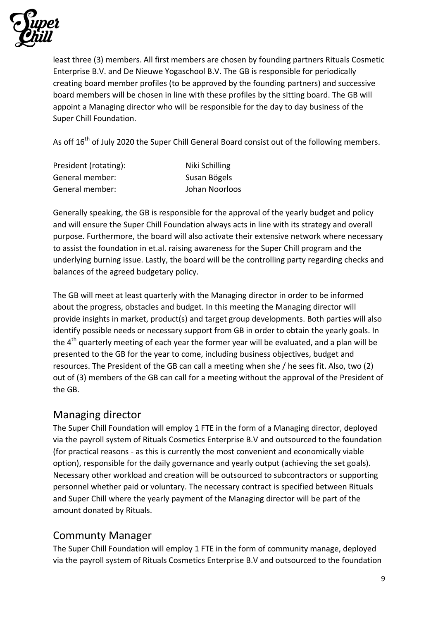

least three (3) members. All first members are chosen by founding partners Rituals Cosmetic Enterprise B.V. and De Nieuwe Yogaschool B.V. The GB is responsible for periodically creating board member profiles (to be approved by the founding partners) and successive board members will be chosen in line with these profiles by the sitting board. The GB will appoint a Managing director who will be responsible for the day to day business of the Super Chill Foundation.

As off 16<sup>th</sup> of July 2020 the Super Chill General Board consist out of the following members.

| President (rotating): | Niki Schilling |
|-----------------------|----------------|
| General member:       | Susan Bögels   |
| General member:       | Johan Noorloos |

Generally speaking, the GB is responsible for the approval of the yearly budget and policy and will ensure the Super Chill Foundation always acts in line with its strategy and overall purpose. Furthermore, the board will also activate their extensive network where necessary to assist the foundation in et.al. raising awareness for the Super Chill program and the underlying burning issue. Lastly, the board will be the controlling party regarding checks and balances of the agreed budgetary policy.

The GB will meet at least quarterly with the Managing director in order to be informed about the progress, obstacles and budget. In this meeting the Managing director will provide insights in market, product(s) and target group developments. Both parties will also identify possible needs or necessary support from GB in order to obtain the yearly goals. In the  $4<sup>th</sup>$  quarterly meeting of each year the former year will be evaluated, and a plan will be presented to the GB for the year to come, including business objectives, budget and resources. The President of the GB can call a meeting when she / he sees fit. Also, two (2) out of (3) members of the GB can call for a meeting without the approval of the President of the GB.

#### Managing director

The Super Chill Foundation will employ 1 FTE in the form of a Managing director, deployed via the payroll system of Rituals Cosmetics Enterprise B.V and outsourced to the foundation (for practical reasons - as this is currently the most convenient and economically viable option), responsible for the daily governance and yearly output (achieving the set goals). Necessary other workload and creation will be outsourced to subcontractors or supporting personnel whether paid or voluntary. The necessary contract is specified between Rituals and Super Chill where the yearly payment of the Managing director will be part of the amount donated by Rituals.

#### Communty Manager

The Super Chill Foundation will employ 1 FTE in the form of community manage, deployed via the payroll system of Rituals Cosmetics Enterprise B.V and outsourced to the foundation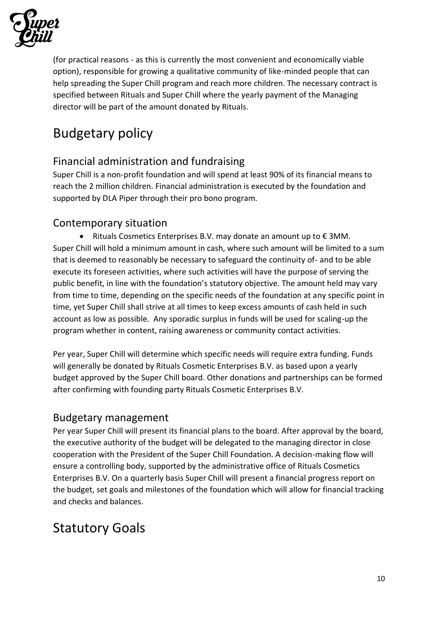

(for practical reasons - as this is currently the most convenient and economically viable option), responsible for growing a qualitative community of like-minded people that can help spreading the Super Chill program and reach more children. The necessary contract is specified between Rituals and Super Chill where the yearly payment of the Managing director will be part of the amount donated by Rituals.

## Budgetary policy

### Financial administration and fundraising

Super Chill is a non-profit foundation and will spend at least 90% of its financial means to reach the 2 million children. Financial administration is executed by the foundation and supported by DLA Piper through their pro bono program.

#### Contemporary situation

• Rituals Cosmetics Enterprises B.V. may donate an amount up to € 3MM. Super Chill will hold a minimum amount in cash, where such amount will be limited to a sum that is deemed to reasonably be necessary to safeguard the continuity of- and to be able execute its foreseen activities, where such activities will have the purpose of serving the public benefit, in line with the foundation's statutory objective. The amount held may vary from time to time, depending on the specific needs of the foundation at any specific point in time, yet Super Chill shall strive at all times to keep excess amounts of cash held in such account as low as possible. Any sporadic surplus in funds will be used for scaling-up the program whether in content, raising awareness or community contact activities.

Per year, Super Chill will determine which specific needs will require extra funding. Funds will generally be donated by Rituals Cosmetic Enterprises B.V. as based upon a yearly budget approved by the Super Chill board. Other donations and partnerships can be formed after confirming with founding party Rituals Cosmetic Enterprises B.V.

#### Budgetary management

Per year Super Chill will present its financial plans to the board. After approval by the board, the executive authority of the budget will be delegated to the managing director in close cooperation with the President of the Super Chill Foundation. A decision-making flow will ensure a controlling body, supported by the administrative office of Rituals Cosmetics Enterprises B.V. On a quarterly basis Super Chill will present a financial progress report on the budget, set goals and milestones of the foundation which will allow for financial tracking and checks and balances.

### Statutory Goals